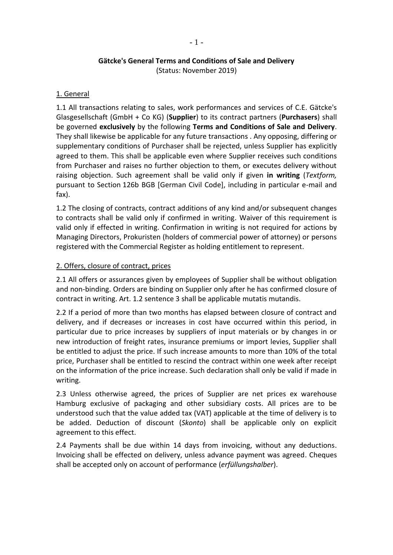#### **Gätcke's General Terms and Conditions of Sale and Delivery** (Status: November 2019)

# 1. General

1.1 All transactions relating to sales, work performances and services of C.E. Gätcke's Glasgesellschaft (GmbH + Co KG) (**Supplier**) to its contract partners (**Purchasers**) shall be governed **exclusively** by the following **Terms and Conditions of Sale and Delivery**. They shall likewise be applicable for any future transactions . Any opposing, differing or supplementary conditions of Purchaser shall be rejected, unless Supplier has explicitly agreed to them. This shall be applicable even where Supplier receives such conditions from Purchaser and raises no further objection to them, or executes delivery without raising objection. Such agreement shall be valid only if given **in writing** (*Textform,*  pursuant to Section 126b BGB [German Civil Code], including in particular e-mail and fax).

1.2 The closing of contracts, contract additions of any kind and/or subsequent changes to contracts shall be valid only if confirmed in writing. Waiver of this requirement is valid only if effected in writing. Confirmation in writing is not required for actions by Managing Directors, Prokuristen (holders of commercial power of attorney) or persons registered with the Commercial Register as holding entitlement to represent.

# 2. Offers, closure of contract, prices

2.1 All offers or assurances given by employees of Supplier shall be without obligation and non-binding. Orders are binding on Supplier only after he has confirmed closure of contract in writing. Art. 1.2 sentence 3 shall be applicable mutatis mutandis.

2.2 If a period of more than two months has elapsed between closure of contract and delivery, and if decreases or increases in cost have occurred within this period, in particular due to price increases by suppliers of input materials or by changes in or new introduction of freight rates, insurance premiums or import levies, Supplier shall be entitled to adjust the price. If such increase amounts to more than 10% of the total price, Purchaser shall be entitled to rescind the contract within one week after receipt on the information of the price increase. Such declaration shall only be valid if made in writing.

2.3 Unless otherwise agreed, the prices of Supplier are net prices ex warehouse Hamburg exclusive of packaging and other subsidiary costs. All prices are to be understood such that the value added tax (VAT) applicable at the time of delivery is to be added. Deduction of discount (*Skonto*) shall be applicable only on explicit agreement to this effect.

2.4 Payments shall be due within 14 days from invoicing, without any deductions. Invoicing shall be effected on delivery, unless advance payment was agreed. Cheques shall be accepted only on account of performance (*erfüllungshalber*).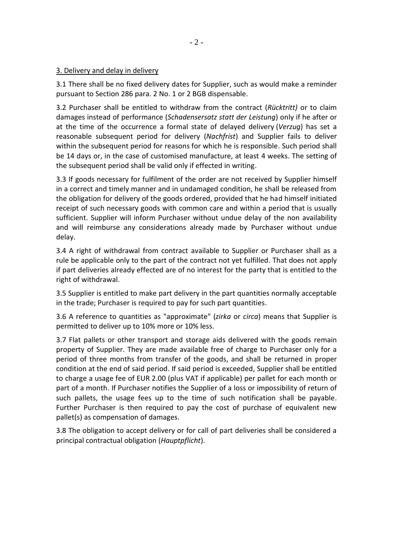### 3. Delivery and delay in delivery

3.1 There shall be no fixed delivery dates for Supplier, such as would make a reminder pursuant to Section 286 para. 2 No. 1 or 2 BGB dispensable.

3.2 Purchaser shall be entitled to withdraw from the contract (*Rücktritt)* or to claim damages instead of performance (*Schadensersatz statt der Leistung*) only if he after or at the time of the occurrence a formal state of delayed delivery (*Verzug*) has set a reasonable subsequent period for delivery (*Nachfrist*) and Supplier fails to deliver within the subsequent period for reasons for which he is responsible. Such period shall be 14 days or, in the case of customised manufacture, at least 4 weeks. The setting of the subsequent period shall be valid only if effected in writing.

3.3 If goods necessary for fulfilment of the order are not received by Supplier himself in a correct and timely manner and in undamaged condition, he shall be released from the obligation for delivery of the goods ordered, provided that he had himself initiated receipt of such necessary goods with common care and within a period that is usually sufficient. Supplier will inform Purchaser without undue delay of the non availability and will reimburse any considerations already made by Purchaser without undue delay.

3.4 A right of withdrawal from contract available to Supplier or Purchaser shall as a rule be applicable only to the part of the contract not yet fulfilled. That does not apply if part deliveries already effected are of no interest for the party that is entitled to the right of withdrawal.

3.5 Supplier is entitled to make part delivery in the part quantities normally acceptable in the trade; Purchaser is required to pay for such part quantities.

3.6 A reference to quantities as "approximate" (*zirka* or *circa*) means that Supplier is permitted to deliver up to 10% more or 10% less.

3.7 Flat pallets or other transport and storage aids delivered with the goods remain property of Supplier. They are made available free of charge to Purchaser only for a period of three months from transfer of the goods, and shall be returned in proper condition at the end of said period. If said period is exceeded, Supplier shall be entitled to charge a usage fee of EUR 2.00 (plus VAT if applicable) per pallet for each month or part of a month. If Purchaser notifies the Supplier of a loss or impossibility of return of such pallets, the usage fees up to the time of such notification shall be payable. Further Purchaser is then required to pay the cost of purchase of equivalent new pallet(s) as compensation of damages.

3.8 The obligation to accept delivery or for call of part deliveries shall be considered a principal contractual obligation (*Hauptpflicht*).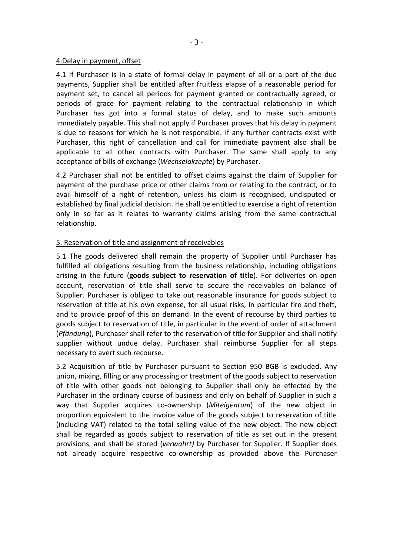#### 4.Delay in payment, offset

4.1 If Purchaser is in a state of formal delay in payment of all or a part of the due payments, Supplier shall be entitled after fruitless elapse of a reasonable period for payment set, to cancel all periods for payment granted or contractually agreed, or periods of grace for payment relating to the contractual relationship in which Purchaser has got into a formal status of delay, and to make such amounts immediately payable. This shall not apply if Purchaser proves that his delay in payment is due to reasons for which he is not responsible. If any further contracts exist with Purchaser, this right of cancellation and call for immediate payment also shall be applicable to all other contracts with Purchaser. The same shall apply to any acceptance of bills of exchange (*Wechselakzepte*) by Purchaser.

4.2 Purchaser shall not be entitled to offset claims against the claim of Supplier for payment of the purchase price or other claims from or relating to the contract, or to avail himself of a right of retention, unless his claim is recognised, undisputed or established by final judicial decision. He shall be entitled to exercise a right of retention only in so far as it relates to warranty claims arising from the same contractual relationship.

# 5. Reservation of title and assignment of receivables

5.1 The goods delivered shall remain the property of Supplier until Purchaser has fulfilled all obligations resulting from the business relationship, including obligations arising in the future (**goods subject to reservation of title**). For deliveries on open account, reservation of title shall serve to secure the receivables on balance of Supplier. Purchaser is obliged to take out reasonable insurance for goods subject to reservation of title at his own expense, for all usual risks, in particular fire and theft, and to provide proof of this on demand. In the event of recourse by third parties to goods subject to reservation of title, in particular in the event of order of attachment (*Pfändung*), Purchaser shall refer to the reservation of title for Supplier and shall notify supplier without undue delay. Purchaser shall reimburse Supplier for all steps necessary to avert such recourse.

5.2 Acquisition of title by Purchaser pursuant to Section 950 BGB is excluded. Any union, mixing, filling or any processing or treatment of the goods subject to reservation of title with other goods not belonging to Supplier shall only be effected by the Purchaser in the ordinary course of business and only on behalf of Supplier in such a way that Supplier acquires co-ownership (*Miteigentum*) of the new object in proportion equivalent to the invoice value of the goods subject to reservation of title (including VAT) related to the total selling value of the new object. The new object shall be regarded as goods subject to reservation of title as set out in the present provisions, and shall be stored (*verwahrt)* by Purchaser for Supplier. If Supplier does not already acquire respective co-ownership as provided above the Purchaser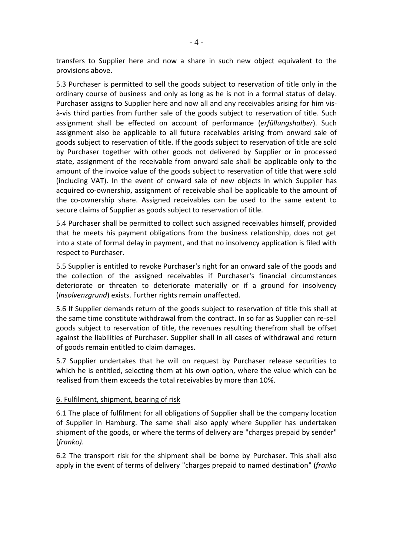transfers to Supplier here and now a share in such new object equivalent to the provisions above.

5.3 Purchaser is permitted to sell the goods subject to reservation of title only in the ordinary course of business and only as long as he is not in a formal status of delay. Purchaser assigns to Supplier here and now all and any receivables arising for him visà-vis third parties from further sale of the goods subject to reservation of title. Such assignment shall be effected on account of performance (*erfüllungshalber*). Such assignment also be applicable to all future receivables arising from onward sale of goods subject to reservation of title. If the goods subject to reservation of title are sold by Purchaser together with other goods not delivered by Supplier or in processed state, assignment of the receivable from onward sale shall be applicable only to the amount of the invoice value of the goods subject to reservation of title that were sold (including VAT). In the event of onward sale of new objects in which Supplier has acquired co-ownership, assignment of receivable shall be applicable to the amount of the co-ownership share. Assigned receivables can be used to the same extent to secure claims of Supplier as goods subject to reservation of title.

5.4 Purchaser shall be permitted to collect such assigned receivables himself, provided that he meets his payment obligations from the business relationship, does not get into a state of formal delay in payment, and that no insolvency application is filed with respect to Purchaser.

5.5 Supplier is entitled to revoke Purchaser's right for an onward sale of the goods and the collection of the assigned receivables if Purchaser's financial circumstances deteriorate or threaten to deteriorate materially or if a ground for insolvency (*Insolvenzgrund*) exists. Further rights remain unaffected.

5.6 If Supplier demands return of the goods subject to reservation of title this shall at the same time constitute withdrawal from the contract. In so far as Supplier can re-sell goods subject to reservation of title, the revenues resulting therefrom shall be offset against the liabilities of Purchaser. Supplier shall in all cases of withdrawal and return of goods remain entitled to claim damages.

5.7 Supplier undertakes that he will on request by Purchaser release securities to which he is entitled, selecting them at his own option, where the value which can be realised from them exceeds the total receivables by more than 10%.

### 6. Fulfilment, shipment, bearing of risk

6.1 The place of fulfilment for all obligations of Supplier shall be the company location of Supplier in Hamburg. The same shall also apply where Supplier has undertaken shipment of the goods, or where the terms of delivery are "charges prepaid by sender" (*franko)*.

6.2 The transport risk for the shipment shall be borne by Purchaser. This shall also apply in the event of terms of delivery "charges prepaid to named destination" (*franko*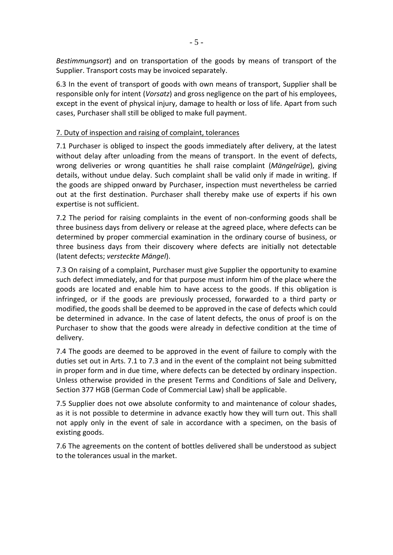*Bestimmungsort*) and on transportation of the goods by means of transport of the Supplier. Transport costs may be invoiced separately.

6.3 In the event of transport of goods with own means of transport, Supplier shall be responsible only for intent (*Vorsatz*) and gross negligence on the part of his employees, except in the event of physical injury, damage to health or loss of life. Apart from such cases, Purchaser shall still be obliged to make full payment.

# 7. Duty of inspection and raising of complaint, tolerances

7.1 Purchaser is obliged to inspect the goods immediately after delivery, at the latest without delay after unloading from the means of transport. In the event of defects, wrong deliveries or wrong quantities he shall raise complaint (*Mängelrüge*), giving details, without undue delay. Such complaint shall be valid only if made in writing. If the goods are shipped onward by Purchaser, inspection must nevertheless be carried out at the first destination. Purchaser shall thereby make use of experts if his own expertise is not sufficient.

7.2 The period for raising complaints in the event of non-conforming goods shall be three business days from delivery or release at the agreed place, where defects can be determined by proper commercial examination in the ordinary course of business, or three business days from their discovery where defects are initially not detectable (latent defects; *versteckte Mängel*).

7.3 On raising of a complaint, Purchaser must give Supplier the opportunity to examine such defect immediately, and for that purpose must inform him of the place where the goods are located and enable him to have access to the goods. If this obligation is infringed, or if the goods are previously processed, forwarded to a third party or modified, the goods shall be deemed to be approved in the case of defects which could be determined in advance. In the case of latent defects, the onus of proof is on the Purchaser to show that the goods were already in defective condition at the time of delivery.

7.4 The goods are deemed to be approved in the event of failure to comply with the duties set out in Arts. 7.1 to 7.3 and in the event of the complaint not being submitted in proper form and in due time, where defects can be detected by ordinary inspection. Unless otherwise provided in the present Terms and Conditions of Sale and Delivery, Section 377 HGB (German Code of Commercial Law) shall be applicable.

7.5 Supplier does not owe absolute conformity to and maintenance of colour shades, as it is not possible to determine in advance exactly how they will turn out. This shall not apply only in the event of sale in accordance with a specimen, on the basis of existing goods.

7.6 The agreements on the content of bottles delivered shall be understood as subject to the tolerances usual in the market.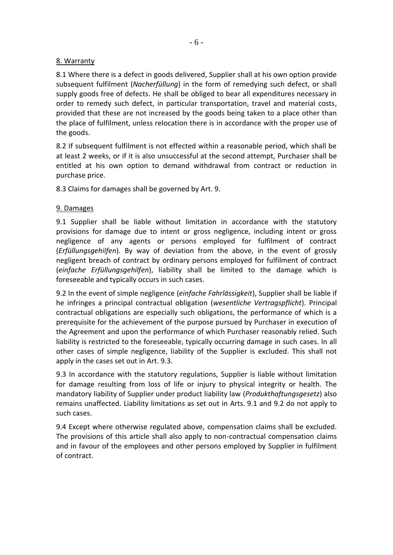# 8. Warranty

8.1 Where there is a defect in goods delivered, Supplier shall at his own option provide subsequent fulfilment (*Nacherfüllung*) in the form of remedying such defect, or shall supply goods free of defects. He shall be obliged to bear all expenditures necessary in order to remedy such defect, in particular transportation, travel and material costs, provided that these are not increased by the goods being taken to a place other than the place of fulfilment, unless relocation there is in accordance with the proper use of the goods.

8.2 If subsequent fulfilment is not effected within a reasonable period, which shall be at least 2 weeks, or if it is also unsuccessful at the second attempt, Purchaser shall be entitled at his own option to demand withdrawal from contract or reduction in purchase price.

8.3 Claims for damages shall be governed by Art. 9.

# 9. Damages

9.1 Supplier shall be liable without limitation in accordance with the statutory provisions for damage due to intent or gross negligence, including intent or gross negligence of any agents or persons employed for fulfilment of contract (*Erfüllungsgehilfen*). By way of deviation from the above, in the event of grossly negligent breach of contract by ordinary persons employed for fulfilment of contract (*einfache Erfüllungsgehilfen*), liability shall be limited to the damage which is foreseeable and typically occurs in such cases.

9.2 In the event of simple negligence (*einfache Fahrlässigkeit*), Supplier shall be liable if he infringes a principal contractual obligation (*wesentliche Vertragspflicht*). Principal contractual obligations are especially such obligations, the performance of which is a prerequisite for the achievement of the purpose pursued by Purchaser in execution of the Agreement and upon the performance of which Purchaser reasonably relied. Such liability is restricted to the foreseeable, typically occurring damage in such cases. In all other cases of simple negligence, liability of the Supplier is excluded. This shall not apply in the cases set out in Art. 9.3.

9.3 In accordance with the statutory regulations, Supplier is liable without limitation for damage resulting from loss of life or injury to physical integrity or health. The mandatory liability of Supplier under product liability law (*Produkthaftungsgesetz*) also remains unaffected. Liability limitations as set out in Arts. 9.1 and 9.2 do not apply to such cases.

9.4 Except where otherwise regulated above, compensation claims shall be excluded. The provisions of this article shall also apply to non-contractual compensation claims and in favour of the employees and other persons employed by Supplier in fulfilment of contract.